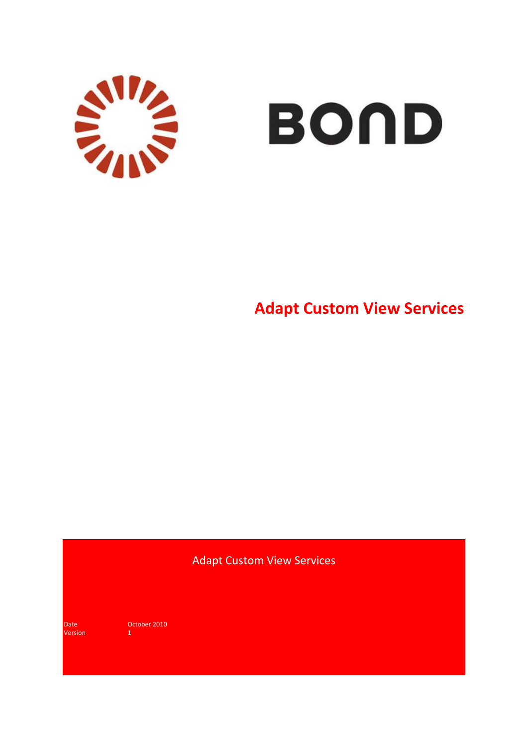

# **BOND**

**Adapt Custom View Services**

## Adapt Custom View Services

Version 1

Date **October 2010**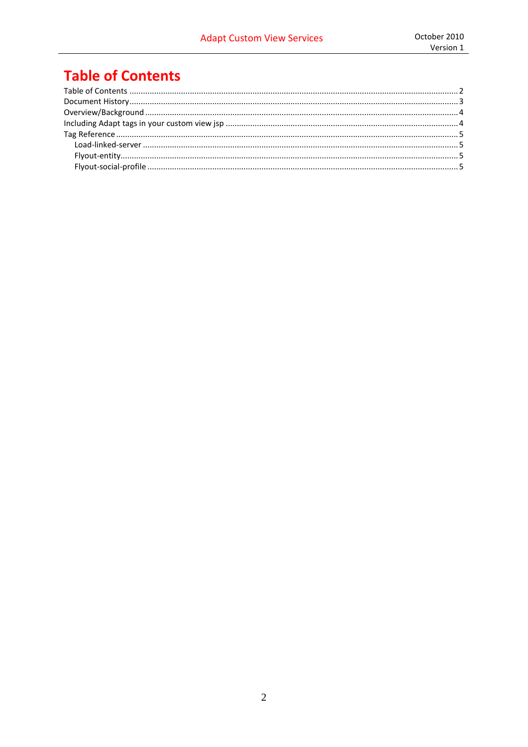# <span id="page-1-0"></span>**Table of Contents**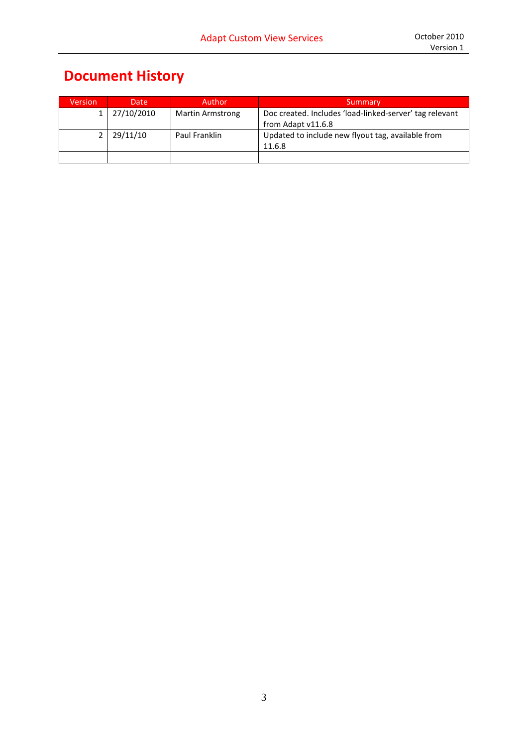## <span id="page-2-0"></span>**Document History**

| <b>Version</b> | Date       | Author                  | Summary                                                 |
|----------------|------------|-------------------------|---------------------------------------------------------|
|                | 27/10/2010 | <b>Martin Armstrong</b> | Doc created. Includes 'load-linked-server' tag relevant |
|                |            |                         | from Adapt v11.6.8                                      |
|                | 29/11/10   | Paul Franklin           | Updated to include new flyout tag, available from       |
|                |            |                         | 11.6.8                                                  |
|                |            |                         |                                                         |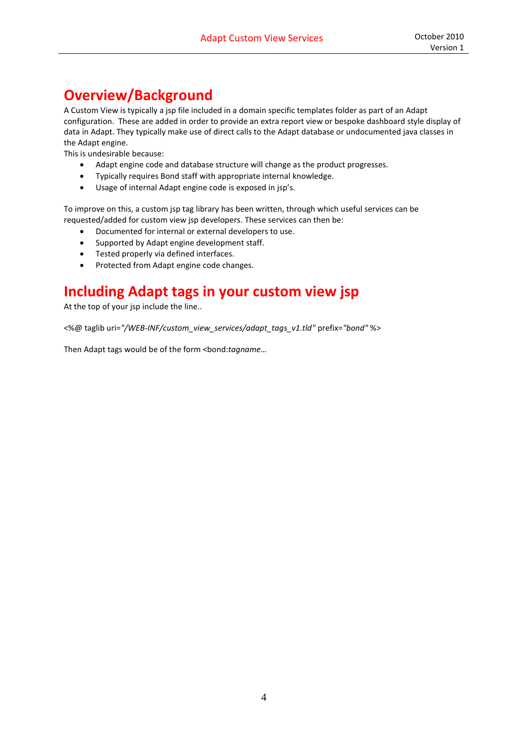## <span id="page-3-0"></span>**Overview/Background**

A Custom View is typically a jsp file included in a domain specific templates folder as part of an Adapt configuration. These are added in order to provide an extra report view or bespoke dashboard style display of data in Adapt. They typically make use of direct calls to the Adapt database or undocumented java classes in the Adapt engine.

This is undesirable because:

- Adapt engine code and database structure will change as the product progresses.
- Typically requires Bond staff with appropriate internal knowledge.
- Usage of internal Adapt engine code is exposed in jsp's.

To improve on this, a custom jsp tag library has been written, through which useful services can be requested/added for custom view jsp developers. These services can then be:

- Documented for internal or external developers to use.
- Supported by Adapt engine development staff.
- **•** Tested properly via defined interfaces.
- Protected from Adapt engine code changes.

## <span id="page-3-1"></span>**Including Adapt tags in your custom view jsp**

At the top of your jsp include the line..

<%@ taglib uri=*"/WEB-INF/custom\_view\_services/adapt\_tags\_v1.tld"* prefix=*"bond"* %>

Then Adapt tags would be of the form <br/>bond: tagname...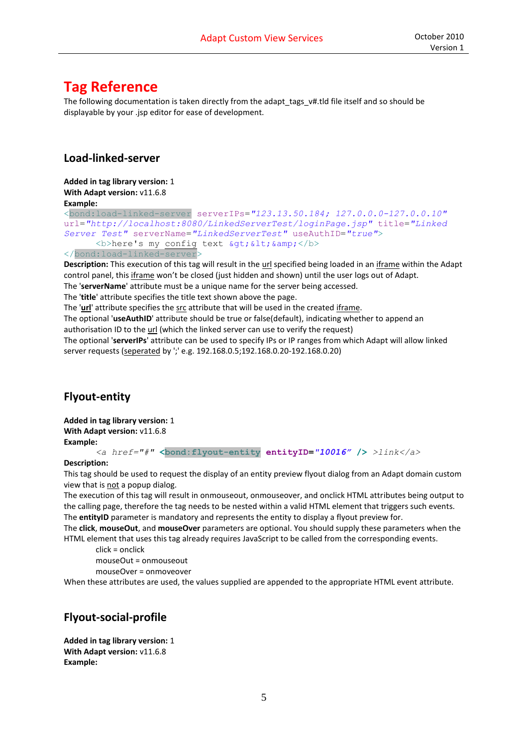## <span id="page-4-0"></span>**Tag Reference**

The following documentation is taken directly from the adapt tags v#.tld file itself and so should be displayable by your .jsp editor for ease of development.

#### <span id="page-4-1"></span>**Load-linked-server**

**Added in tag library version:** 1 **With Adapt version: v11.6.8 Example:**

<bond:load-linked-server serverIPs=*"123.13.50.184; 127.0.0.0-127.0.0.10"* url=*"http://localhost:8080/LinkedServerTest/loginPage.jsp"* title=*"Linked Server Test"* serverName=*"LinkedServerTest"* useAuthID=*"true"*>  **>here's my config text**  $c$ **gt;**  $c$ **lt;**  $c$ **amp;**  $**8**$ </bond:load-linked-server>

**Description:** This execution of this tag will result in the url specified being loaded in an iframe within the Adapt control panel, this iframe won't be closed (just hidden and shown) until the user logs out of Adapt.

The '**serverName**' attribute must be a unique name for the server being accessed.

The '**title**' attribute specifies the title text shown above the page.

The '**url**' attribute specifies the src attribute that will be used in the created iframe.

The optional '**useAuthID**' attribute should be true or false(default), indicating whether to append an

authorisation ID to the url (which the linked server can use to verify the request)

The optional '**serverIPs**' attribute can be used to specify IPs or IP ranges from which Adapt will allow linked server requests (seperated by ';' e.g. 192.168.0.5;192.168.0.20-192.168.0.20)

### <span id="page-4-2"></span>**Flyout-entity**

**Added in tag library version:** 1 **With Adapt version: v11.6.8 Example:**

*<a href="#"* **<bond:flyout-entity entityID=***"10016"* **/>** *>link</a>*

#### **Description:**

This tag should be used to request the display of an entity preview flyout dialog from an Adapt domain custom view that is not a popup dialog.

The execution of this tag will result in onmouseout, onmouseover, and onclick HTML attributes being output to the calling page, therefore the tag needs to be nested within a valid HTML element that triggers such events. The **entityID** parameter is mandatory and represents the entity to display a flyout preview for.

The **click**, **mouseOut**, and **mouseOver** parameters are optional. You should supply these parameters when the HTML element that uses this tag already requires JavaScript to be called from the corresponding events.

click = onclick

mouseOut = onmouseout

mouseOver = onmoveover

When these attributes are used, the values supplied are appended to the appropriate HTML event attribute.

#### <span id="page-4-3"></span>**Flyout-social-profile**

**Added in tag library version:** 1 **With Adapt version: v11.6.8 Example:**